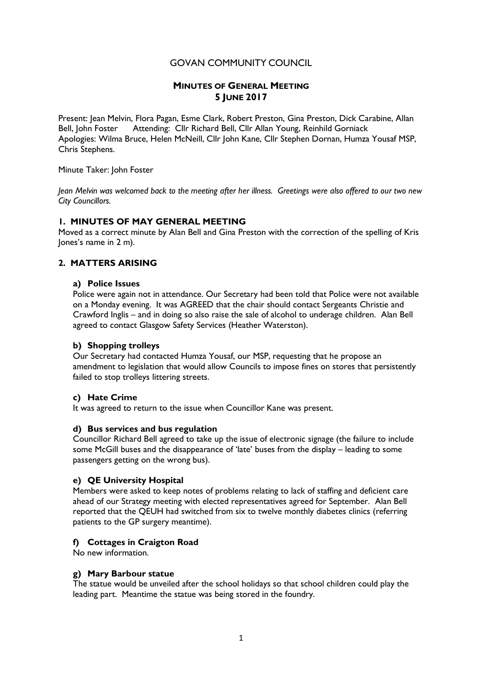# GOVAN COMMUNITY COUNCIL

# **MINUTES OF GENERAL MEETING 5 JUNE 2017**

Present: Jean Melvin, Flora Pagan, Esme Clark, Robert Preston, Gina Preston, Dick Carabine, Allan Bell, John Foster Attending: Cllr Richard Bell, Cllr Allan Young, Reinhild Gorniack Apologies: Wilma Bruce, Helen McNeill, Cllr John Kane, Cllr Stephen Dornan, Humza Yousaf MSP, Chris Stephens.

Minute Taker: John Foster

*Jean Melvin was welcomed back to the meeting after her illness. Greetings were also offered to our two new City Councillors.*

## **1. MINUTES OF MAY GENERAL MEETING**

Moved as a correct minute by Alan Bell and Gina Preston with the correction of the spelling of Kris Jones's name in 2 m).

# **2. MATTERS ARISING**

#### **a) Police Issues**

Police were again not in attendance. Our Secretary had been told that Police were not available on a Monday evening. It was AGREED that the chair should contact Sergeants Christie and Crawford Inglis – and in doing so also raise the sale of alcohol to underage children. Alan Bell agreed to contact Glasgow Safety Services (Heather Waterston).

### **b) Shopping trolleys**

Our Secretary had contacted Humza Yousaf, our MSP, requesting that he propose an amendment to legislation that would allow Councils to impose fines on stores that persistently failed to stop trolleys littering streets.

### **c) Hate Crime**

It was agreed to return to the issue when Councillor Kane was present.

### **d) Bus services and bus regulation**

Councillor Richard Bell agreed to take up the issue of electronic signage (the failure to include some McGill buses and the disappearance of 'late' buses from the display – leading to some passengers getting on the wrong bus).

### **e) QE University Hospital**

Members were asked to keep notes of problems relating to lack of staffing and deficient care ahead of our Strategy meeting with elected representatives agreed for September. Alan Bell reported that the QEUH had switched from six to twelve monthly diabetes clinics (referring patients to the GP surgery meantime).

### **f) Cottages in Craigton Road**

No new information.

#### **g) Mary Barbour statue**

The statue would be unveiled after the school holidays so that school children could play the leading part. Meantime the statue was being stored in the foundry.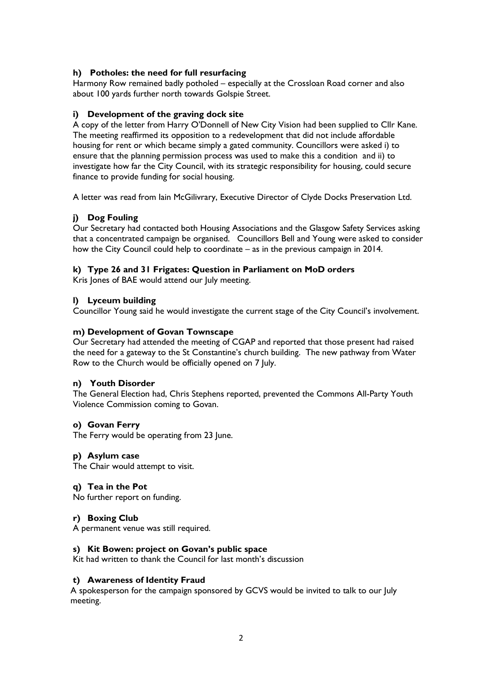# **h) Potholes: the need for full resurfacing**

Harmony Row remained badly potholed – especially at the Crossloan Road corner and also about 100 yards further north towards Golspie Street.

## **i) Development of the graving dock site**

A copy of the letter from Harry O'Donnell of New City Vision had been supplied to Cllr Kane. The meeting reaffirmed its opposition to a redevelopment that did not include affordable housing for rent or which became simply a gated community. Councillors were asked i) to ensure that the planning permission process was used to make this a condition and ii) to investigate how far the City Council, with its strategic responsibility for housing, could secure finance to provide funding for social housing.

A letter was read from Iain McGilivrary, Executive Director of Clyde Docks Preservation Ltd.

# **j) Dog Fouling**

Our Secretary had contacted both Housing Associations and the Glasgow Safety Services asking that a concentrated campaign be organised. Councillors Bell and Young were asked to consider how the City Council could help to coordinate – as in the previous campaign in 2014.

# **k) Type 26 and 31 Frigates: Question in Parliament on MoD orders**

Kris Jones of BAE would attend our July meeting.

## **l) Lyceum building**

Councillor Young said he would investigate the current stage of the City Council's involvement.

## **m) Development of Govan Townscape**

Our Secretary had attended the meeting of CGAP and reported that those present had raised the need for a gateway to the St Constantine's church building. The new pathway from Water Row to the Church would be officially opened on 7 July.

# **n) Youth Disorder**

The General Election had, Chris Stephens reported, prevented the Commons All-Party Youth Violence Commission coming to Govan.

### **o) Govan Ferry**

The Ferry would be operating from 23 June.

### **p) Asylum case**

The Chair would attempt to visit.

### **q) Tea in the Pot**

No further report on funding.

### **r) Boxing Club**

A permanent venue was still required.

## **s) Kit Bowen: project on Govan's public space**

Kit had written to thank the Council for last month's discussion

### **t) Awareness of Identity Fraud**

A spokesperson for the campaign sponsored by GCVS would be invited to talk to our July meeting.